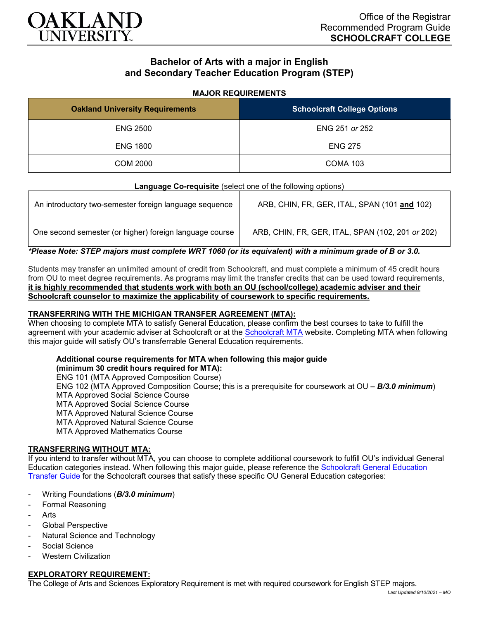

# **Bachelor of Arts with a major in English and Secondary Teacher Education Program (STEP)**

#### **MAJOR REQUIREMENTS**

| <b>Oakland University Requirements</b> | <b>Schoolcraft College Options</b> |
|----------------------------------------|------------------------------------|
| <b>ENG 2500</b>                        | ENG 251 or 252                     |
| <b>ENG 1800</b>                        | <b>ENG 275</b>                     |
| COM 2000                               | <b>COMA 103</b>                    |

#### **Language Co-requisite** (select one of the following options)

| An introductory two-semester foreign language sequence  | ARB, CHIN, FR, GER, ITAL, SPAN (101 and 102)     |
|---------------------------------------------------------|--------------------------------------------------|
| One second semester (or higher) foreign language course | ARB, CHIN, FR, GER, ITAL, SPAN (102, 201 or 202) |

*\*Please Note: STEP majors must complete WRT 1060 (or its equivalent) with a minimum grade of B or 3.0.*

Students may transfer an unlimited amount of credit from Schoolcraft, and must complete a minimum of 45 credit hours from OU to meet degree requirements. As programs may limit the transfer credits that can be used toward requirements, **it is highly recommended that students work with both an OU (school/college) academic adviser and their Schoolcraft counselor to maximize the applicability of coursework to specific requirements.**

# **TRANSFERRING WITH THE MICHIGAN TRANSFER AGREEMENT (MTA):**

When choosing to complete MTA to satisfy General Education, please confirm the best courses to take to fulfill the agreement with your academic adviser at Schoolcraft or at the [Schoolcraft MTA](https://schoolcraft.edu/academics/michigan-transfer-agreement) website. Completing MTA when following this major guide will satisfy OU's transferrable General Education requirements.

### **Additional course requirements for MTA when following this major guide**

**(minimum 30 credit hours required for MTA):** ENG 101 (MTA Approved Composition Course) ENG 102 (MTA Approved Composition Course; this is a prerequisite for coursework at OU *– B/3.0 minimum*) MTA Approved Social Science Course MTA Approved Social Science Course MTA Approved Natural Science Course MTA Approved Natural Science Course MTA Approved Mathematics Course

### **TRANSFERRING WITHOUT MTA:**

If you intend to transfer without MTA, you can choose to complete additional coursework to fulfill OU's individual General Education categories instead. When following this major guide, please reference the [Schoolcraft General Education](https://www.oakland.edu/Assets/Oakland/program-guides/schoolcraft-college/university-general-education-requirements/Schoolcraft%20Gen%20Ed.pdf)  [Transfer Guide](https://www.oakland.edu/Assets/Oakland/program-guides/schoolcraft-college/university-general-education-requirements/Schoolcraft%20Gen%20Ed.pdf) for the Schoolcraft courses that satisfy these specific OU General Education categories:

- Writing Foundations (*B/3.0 minimum*)
- Formal Reasoning
- Arts
- Global Perspective
- Natural Science and Technology
- Social Science
- **Western Civilization**

### **EXPLORATORY REQUIREMENT:**

The College of Arts and Sciences Exploratory Requirement is met with required coursework for English STEP majors.